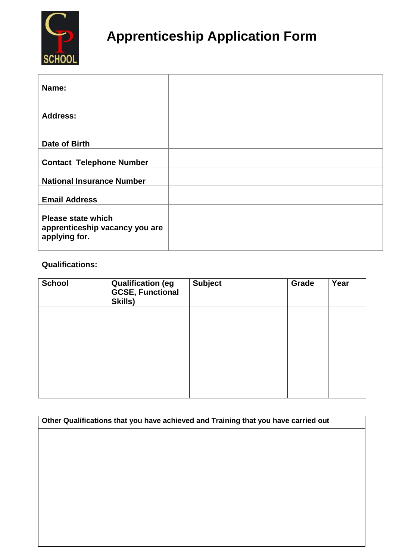

# **Apprenticeship Application Form**

| Name:                                                                        |  |
|------------------------------------------------------------------------------|--|
|                                                                              |  |
| <b>Address:</b>                                                              |  |
|                                                                              |  |
| Date of Birth                                                                |  |
| <b>Contact Telephone Number</b>                                              |  |
| <b>National Insurance Number</b>                                             |  |
| <b>Email Address</b>                                                         |  |
| <b>Please state which</b><br>apprenticeship vacancy you are<br>applying for. |  |

## **Qualifications:**

| <b>Qualification (eg</b><br><b>GCSE, Functional</b><br>Skills) | <b>Subject</b> | Grade | Year |
|----------------------------------------------------------------|----------------|-------|------|
|                                                                |                |       |      |
|                                                                |                |       |      |
|                                                                |                |       |      |
|                                                                |                |       |      |

| Other Qualifications that you have achieved and Training that you have carried out |  |  |
|------------------------------------------------------------------------------------|--|--|
|                                                                                    |  |  |
|                                                                                    |  |  |
|                                                                                    |  |  |
|                                                                                    |  |  |
|                                                                                    |  |  |
|                                                                                    |  |  |
|                                                                                    |  |  |
|                                                                                    |  |  |
|                                                                                    |  |  |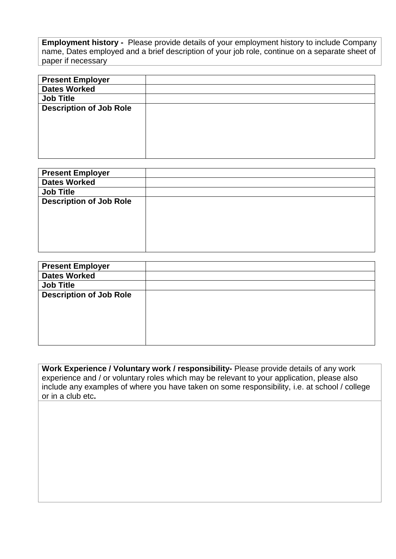**Employment history -** Please provide details of your employment history to include Company name, Dates employed and a brief description of your job role, continue on a separate sheet of paper if necessary

| <b>Present Employer</b>        |  |
|--------------------------------|--|
| <b>Dates Worked</b>            |  |
| <b>Job Title</b>               |  |
| <b>Description of Job Role</b> |  |
|                                |  |
|                                |  |
|                                |  |
|                                |  |
|                                |  |

| <b>Present Employer</b>        |  |
|--------------------------------|--|
| <b>Dates Worked</b>            |  |
| <b>Job Title</b>               |  |
| <b>Description of Job Role</b> |  |
|                                |  |
|                                |  |
|                                |  |
|                                |  |
|                                |  |

| <b>Present Employer</b>        |  |
|--------------------------------|--|
| <b>Dates Worked</b>            |  |
| <b>Job Title</b>               |  |
| <b>Description of Job Role</b> |  |
|                                |  |
|                                |  |
|                                |  |
|                                |  |
|                                |  |

**Work Experience / Voluntary work / responsibility-** Please provide details of any work experience and / or voluntary roles which may be relevant to your application, please also include any examples of where you have taken on some responsibility, i.e. at school / college or in a club etc**.**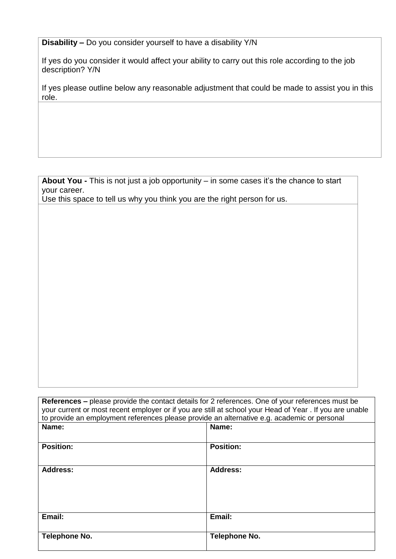**Disability –** Do you consider yourself to have a disability Y/N

If yes do you consider it would affect your ability to carry out this role according to the job description? Y/N

If yes please outline below any reasonable adjustment that could be made to assist you in this role.

**About You -** This is not just a job opportunity – in some cases it's the chance to start your career.

Use this space to tell us why you think you are the right person for us.

| <b>References –</b> please provide the contact details for 2 references. One of your references must be<br>your current or most recent employer or if you are still at school your Head of Year. If you are unable<br>to provide an employment references please provide an alternative e.g. academic or personal |                  |  |  |
|-------------------------------------------------------------------------------------------------------------------------------------------------------------------------------------------------------------------------------------------------------------------------------------------------------------------|------------------|--|--|
| Name:                                                                                                                                                                                                                                                                                                             | Name:            |  |  |
| <b>Position:</b>                                                                                                                                                                                                                                                                                                  | <b>Position:</b> |  |  |
| <b>Address:</b>                                                                                                                                                                                                                                                                                                   | Address:         |  |  |
| Email:                                                                                                                                                                                                                                                                                                            | Email:           |  |  |
| Telephone No.                                                                                                                                                                                                                                                                                                     | Telephone No.    |  |  |